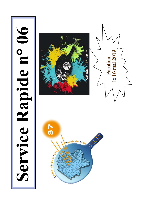# Service Rapide n° 06





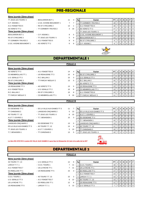# **PRE-REGIONALE**

### **6ème journée (2ème phase)**

| - BEAUJARDIN BCT 1         |
|----------------------------|
| - U.S.E. AVOINE-BEAUMONT 1 |
| - RS ST CYR/LOIRE 2        |
| - TT CORMERY-TRUYES 2      |
|                            |
| - C.P. VEIGNE 1            |
| - TT JOUE LES TOURS 5      |
|                            |

| TT JOUE LES TOURS 5       | - BEAUJARDIN BCT 1         | 11 |    | Rg | Equipe                          | PT I            | IJ  |     | N        | D  |                |
|---------------------------|----------------------------|----|----|----|---------------------------------|-----------------|-----|-----|----------|----|----------------|
| C.P. VEIGNE 1             | - U.S.E. AVOINE-BEAUMONT 1 |    |    |    | CORMERY-TRUYES 2                | 19              | 7 I | - 5 |          |    | $\overline{0}$ |
| A.S. FONDETTES 5          | - RS ST CYR/LOIRE 2        | 13 |    |    | A.S. FONDETTES 5                | 18              |     | -5  |          |    | I 0            |
| AS VERETZ TT 2            | - TT CORMERY-TRUYES 2      | 4  | 10 |    | AS VERETZ TT 2                  | 17              | п   | 4   |          |    | l 0            |
| 7ème journée (2ème phase) |                            |    |    |    | <b>TT JOUE LES TOURS 5</b>      | 15              |     | 3   |          |    | I 0            |
| <b>BEAUJARDIN BCT 1</b>   | - C.P. VEIGNE 1            | 9  | 5  | 5  | <b>U.S.E. AVOINE-BEAUMONT 1</b> | 13 <sub>1</sub> |     |     |          |    | $\overline{0}$ |
| RS ST CYR/LOIRE 2         | - TT JOUE LES TOURS 5      | 5  | 9  | 6  | BEAUJARDIN BCT 1                | 13 <sup>1</sup> |     | -3  | $\Omega$ |    | l 0            |
| TT CORMERY-TRUYES 2       | - A.S. FONDETTES 5         | 8  | 6  |    | <b>RS ST CYR/LOIRE 2</b>        |                 |     |     |          | -6 | $\overline{0}$ |
| U.S.E. AVOINE-BEAUMONT 1  | - AS VERETZ TT 2           | 6  |    | 8  | <b>C.P. VEIGNE 1</b>            | 8               |     |     |          |    | $\overline{0}$ |



# **DEPARTEMENTALE 1**

|                            |                       |    | <b>POULE A</b> |    |                             |                 |                |                |             |   |                |                |
|----------------------------|-----------------------|----|----------------|----|-----------------------------|-----------------|----------------|----------------|-------------|---|----------------|----------------|
| 6ème journée (2ème phase)  |                       |    |                |    |                             |                 |                |                |             |   |                |                |
| AS VERETZ TT 3             | - A.S. FONDETTES 6    | 14 | 4              | Rg | Equipe                      | PT I            | J              | $\mathsf{v}$   | N           | D | P I            | F              |
| <b>CS MEMBROLLAIS TT 1</b> | - US RENAUDINE TT 3   | 10 | 8              |    | <b>RS ST CYR/LOIRE 3</b>    | 17 <sup>1</sup> | 7 <sup>1</sup> | 5              | $\mathbf 0$ | 2 | $\overline{0}$ | $\mathbf 0$    |
| U.S. GENILLE TT 2          | $-R.C. BALLAN 2$      | 15 | 3              |    | <b>U.S. GENILLE TT 2</b>    | 16 <sup>1</sup> | $\overline{7}$ | 4              |             | 2 | $\overline{0}$ | $\mathbf 0$    |
| <b>RS ST CYR/LOIRE 3</b>   | - TT PARCAY MESLAY 2  | 13 | 5              | 3  | R.C. BALLAN 2               | 15 <sup>1</sup> |                | 4              | 0           | 3 | $\overline{0}$ | $\mathbf 0$    |
| 7ème journée (2ème phase)  |                       |    |                | 4  | AS VERETZ TT 3              | 14              |                | 3              |             | 3 |                | $01$ 0         |
| US RENAUDINE TT 3          | - AS VERETZ TT 3      | 13 | 5              | 5  | US RENAUDINE TT 3           | 13              |                | $\mathbf{3}$   | $\Omega$    | 4 |                | $0 \mid 0$     |
| A.S. FONDETTES 6           | - U.S. GENILLE TT 2   | 10 | 8              | 6  | <b>ICS MEMBROLLAIS TT 1</b> | 13 <sub>1</sub> | $\overline{7}$ | 3              | $\mathbf 0$ | 4 | $\overline{0}$ | $\overline{0}$ |
| R.C. BALLAN 2              | - RS ST CYR/LOIRE 3   | 10 | 8              |    | A.S. FONDETTES 6            | 13 <sup>1</sup> | $\overline{7}$ | 3              | $\mathbf 0$ | 4 | $\overline{0}$ | $\mathbf 0$    |
| TT PARCAY MESLAY 2         | - CS MEMBROLLAIS TT 1 | 8  | 10             | 8  | <b>TT PARCAY MESLAY 2</b>   | 11 <sup>1</sup> |                | $\overline{2}$ |             | 5 |                | $0$   0        |
|                            |                       |    |                |    |                             |                 |                |                |             |   |                |                |

# **POULE B**

### **6ème journée (2ème phase)** ES OESIENNE TT 2 - ES LA VILLE-AUX-DAMES TT 3 11 TT CHINONAIS 2 - LANGEAIS-CINQ MARS 2 5 4S TOURS T.T. 12 **10 2 10 2 10 2 A.S.T.T. EST TOURS 1 2 A.S.T.T.T. EST TOURS 1 8** A.S.T.T. ESVRES 1 - T.T. BENAISIEN 1 3 3 3 15 7ème journée (2ème phase) LANGEAIS-CINQ MARS 2 - ES OESIENNE TT 2 13 ES LA VILLE-AUX-DAMES TT 3 4S TOURS T.T. 12 14 TT JOUE LES TOURS 6 - A.S.T.T. ESVRES 1 5 T.T. BENAISIEN 1 - TT CHINONAIS 2 13

|                | Rg | Equipe                     | PT |   | ν | N        | D | Р | F        |
|----------------|----|----------------------------|----|---|---|----------|---|---|----------|
| 13             | 1  | ES LA VILLE-AUX-DAMES TT 3 | 19 | 7 | 6 | $\Omega$ |   |   | $\Omega$ |
| 10             | 2  | A.S.T.T. ESVRES 1          | 19 | 7 | 6 | $\Omega$ |   |   | $\Omega$ |
| 3              | 3  | ES OESIENNE TT 2           | 15 | 7 | 4 | $\Omega$ | 3 |   | $\Omega$ |
|                | 4  | T.T. BENAISIEN 1           | 15 | 7 | 4 | $\Omega$ | 3 |   | $\Omega$ |
| 5              | 5  | LANGEAIS-CINQ MARS 2       | 13 | 7 | 3 | $\Omega$ | 4 |   | $\Omega$ |
| $\overline{4}$ | 6  | 4S TOURS T.T. 12           | 11 | 7 | 2 | $\Omega$ | 5 | 0 | $\Omega$ |
| 13             |    | TT CHINONAIS 2             | 10 | 7 | 1 |          | 5 |   | $\Omega$ |
| 5              | 8  | TT JOUE LES TOURS 6        | 10 | 7 |   |          | 5 |   |          |
|                |    |                            |    |   |   |          |   |   |          |

### **Le titre RS ST/CYR 3 contre ES VILLE AUX DAMES 3 aura lieu le Dimanche 16 Juin à la salle de la 4ST**



# **DEPARTEMENTALE 2 POULE A**

# **6ème journée (2ème phase)** 4S TOURS T.T. 13 **12 General Section Contract Contract Contract PT J V N D P F** F LARCAY T.T. 1  $CCE.S. TOURS 1$  7 11 | 1 | C.E.S. TOURS 1 | 19 | 7 | 6 | 0 | 1 | 0 | 0 A.S. FONDETTES 7  $-$  US LA RICHE TT 1  $-$  7 11  $2$  US LA RICHE TT 1  $19$  7 6 0 1 0 0 0 ES RIDELLOIS TT 1  $\begin{array}{ccc} . & . & . \\ . & . & \end{array}$  US RENAUDINE TT 5 15 3 3 ES RIDELLOIS TT 1  $\begin{array}{ccc} 17 & 7 & 5 & 0 & 2 & 0 & 0 \\ . & . & . & . & . \end{array}$ **7ème journée (2ème phase)** 4 A.S. FONDETTES 7 13 13 7 3 0 4 0 0 0 C.E.S. TOURS 1 - 4S TOURS T.T. 13 15 3 5 LARCAY T.T. 1 13 7 3 0 4 0 0 U.S. GENILLE TT 3 - A.S. FONDETTES 7 6 12 6 4S TOURS T.T. 13 13 7 3 0 4 0 0 US LA RICHE TT 1  $-$  ES RIDELLOIS TT 1  $-$  12 6 7 US RENAUDINE TT 5  $-$  11  $\frac{1}{7}$  2 0 5 0 0 0 US RENAUDINE TT 5 - LARCAY T.T. 1 5 13 8 U.S. GENILLE TT 3 7 7 7 0 0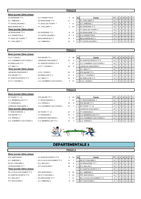| 6ème journée (2ème phase) |                       |                |    |    |                            |                 |                |                |          |   |    |                                                     |
|---------------------------|-----------------------|----------------|----|----|----------------------------|-----------------|----------------|----------------|----------|---|----|-----------------------------------------------------|
| ES OESIENNE TT 3          | - A.S. FONDETTES 8    | 8              | 10 | Rq | Equipe                     | <b>PT</b>       | J              |                | VINI     | D | PF |                                                     |
| A.C. AMBOISE 1            | - US RENAUDINE TT 4   | 11             |    |    | <b>P.L. PAUL BERT 1</b>    | 21              |                |                | 0        | 0 |    | 0 <sub>0</sub>                                      |
| <b>TT CASTELVALERIE 1</b> | - TT JOUE LES TOURS 7 | $\overline{7}$ | 11 |    | A.C. AMBOISE 1             | 19 <sup>1</sup> |                | - 6            | 0        |   | 0  | $\overline{\phantom{0}}$ 0 $\overline{\phantom{0}}$ |
| <b>BEAUJARDIN BCT 2</b>   | - P.L. PAUL BERT 1    | $\overline{2}$ | 16 | 3  | <b>IES OESIENNE TT 3</b>   | 13 I            |                | 3              |          |   |    | 0 <sub>0</sub>                                      |
| 7ème journée (2ème phase) |                       |                |    | 4  | <b>TT JOUE LES TOURS 7</b> | 13 <sup>1</sup> | $\overline{ }$ | -3             | $\Omega$ | 4 |    | 0 <sub>0</sub>                                      |
| US RENAUDINE TT 4         | - ES OESIENNE TT 3    | 6              | 12 | 5  | <b>IUS RENAUDINE TT 4</b>  | 13 I            |                | 2              | 2        | 3 | 0  | $\overline{1}$ 0                                    |
| A.S. FONDETTES 8          | - TT CASTELVALERIE 1  | 9              | 9  | 6  | A.S. FONDETTES 8           | 13 <sup>1</sup> |                | 2              | 2        | 3 |    | $01$ 0                                              |
| TT JOUE LES TOURS 7       | - BEAUJARDIN BCT 2    | 14             |    |    | <b>BEAUJARDIN BCT 2</b>    | 12 <sup>1</sup> | $\overline{ }$ | $\overline{2}$ |          | 4 |    | $0$   $0$                                           |
| P.L. PAUL BERT 1          | - A.C. AMBOISE 1      | 13             |    | 8  | <b>ITT CASTELVALERIE 1</b> | 8               |                |                |          | 6 |    | $\overline{1}$ 0                                    |

# **POULE C**

| 6ème journée (2ème phase) |                             |    |    |    |                               |           |                |     |      |   |                |   |
|---------------------------|-----------------------------|----|----|----|-------------------------------|-----------|----------------|-----|------|---|----------------|---|
| C.E.S. TOURS 2            | - STE MAURE TT 1            |    | 18 | Rg | Equipe                        | <b>PT</b> | JI             |     | VINI | D | PIF            |   |
| U.S. CHAMBRAY-LES-TOURS 2 | - LANGEAIS-CINO MARS 3      | 13 | 5  |    | <b>ST AVERTIN SPORTS TT 4</b> | 21        |                |     |      |   | 0 <sub>1</sub> |   |
| ES RIDELLOIS TT 2         | - ST AVERTIN SPORTS TT 4    |    | 11 |    | U.S. CHAMBRAY-LES-TOURS 2     | 15        |                | 4 I |      |   | 0 <sub>1</sub> |   |
| A.P. ABILLY 1             | - A.S.T.T. ESVRES 2         | 10 | 8  |    | LANGEAIS-CINQ MARS 3          | 15        |                | 4   |      |   | 0 <sub>1</sub> |   |
| 7ème journée (2ème phase) |                             |    |    |    | 4 A.P. ABILLY 1               | 15        |                | 4 I |      |   | $01$ 0         |   |
| LANGEAIS-CINQ MARS 3      | - C.E.S. TOURS 2            | 18 | F  |    | <b>STE MAURE TT 1</b>         | 14        | 7              | 3   |      |   | 0 <sub>1</sub> |   |
| STE MAURE TT 1            | - ES RIDELLOIS TT 2         | 17 |    |    | A.S.T.T. ESVRES 2             | 14        | 7 <sup>1</sup> | 3   |      |   | 0 <sub>1</sub> |   |
| ST AVERTIN SPORTS TT 4    | $-$ A.P. ABILLY 1           | 14 | 4  |    | <b>IES RIDELLOIS TT 2</b>     |           |                |     |      | 5 | 0 <sup>1</sup> |   |
| A.S.T.T. ESVRES 2         | - U.S. CHAMBRAY-LES-TOURS 2 | 4  | 14 |    | C.E.S. TOURS 2                | 3         |                |     |      |   |                | 4 |

**POULE D**

# **6ème journée (2ème phase)**

| <b>1S TOURS T.T. 14</b>      |  |
|------------------------------|--|
| C.S. MEMBROLLAIS TT 2        |  |
| <b><i>FT CHINONAIS 3</i></b> |  |
| <b>ANGEAIS-CINQ MARS 4</b>   |  |
| 7ème journée (2ème phase)    |  |
| <b>T.T BOUCHARDAIS 1</b>     |  |
| STE MAURE TT 2               |  |
|                              |  |
| J.S. VERNOU 1                |  |

| 6ème journée (2ème phase) |                             |                |
|---------------------------|-----------------------------|----------------|
| 4S TOURS T.T. 14          | - STE MAURE TT 2            | 5              |
| C.S. MEMBROLLAIS TT 2     | - T.T BOUCHARDAIS 1         | $\overline{7}$ |
| <b>TT CHINONAIS 3</b>     | - U.S. VERNOU 1             | 10             |
| LANGEAIS-CINQ MARS 4      | - U.S. CHAMBRAY-LES-TOURS 3 | 11             |
| 7ème journée (2ème phase) |                             |                |
| T.T BOUCHARDAIS 1         | - 4S TOURS T.T. 14          | 14             |
| STE MAURE TT 2            | - TT CHINONAIS 3            | 16             |
| U.S. VERNOU 1             | - LANGEAIS-CINQ MARS 4      | 6              |
| U.S. CHAMBRAY-LES-TOURS 3 | - C.S. MEMBROLLAIS TT 2     | 11             |

| $331119$ $3311199$ $331119$ $331199$ |                             |    |    |    |                              |      |    |    |          |   |           |                  |
|--------------------------------------|-----------------------------|----|----|----|------------------------------|------|----|----|----------|---|-----------|------------------|
| 4S TOURS T.T. 14                     | - STE MAURE TT 2            | 5  | 13 | Rg | Equipe                       | PT I | JI | v  | N.       | D | PF        |                  |
| C.S. MEMBROLLAIS TT 2                | - T.T BOUCHARDAIS 1         |    | 11 |    | <b>IT.T BOUCHARDAIS 1</b>    | 21   |    |    | 0        |   | $0$   $0$ |                  |
| TT CHINONAIS 3                       | - U.S. VERNOU 1             | 10 | 8  |    | <b>STE MAURE TT 2</b>        | 19   |    | -6 |          |   |           | $\overline{1}$ 0 |
| LANGEAIS-CINQ MARS 4                 | - U.S. CHAMBRAY-LES-TOURS 3 | 11 |    |    | 4S TOURS T.T. 14             |      |    | 5  |          |   |           | $\overline{1}$ 0 |
| 7ème journée (2ème phase)            |                             |    |    |    | LANGEAIS-CINQ MARS 4         | 13 I |    |    |          |   |           | $\overline{1}$ 0 |
| T.T BOUCHARDAIS 1                    | - 4S TOURS T.T. 14          | 14 | 4  | 5. | <b>ITT CHINONAIS 3</b>       | 13 I |    | -3 | $\Omega$ |   |           | $\overline{1}$ 0 |
| STE MAURE TT 2                       | - TT CHINONAIS 3            | 16 | 2  |    | <b>C.S. MEMBROLLAIS TT 2</b> |      |    |    | 0        | 5 | 0         | $\overline{1}$ 0 |
| U.S. VERNOU 1                        | - LANGEAIS-CINQ MARS 4      | 6  | 12 |    | U.S. CHAMBRAY-LES-TOURS 3    |      |    |    |          | 5 |           | $\overline{1}$ 0 |
| U.S. CHAMBRAY-LES-TOURS 3            | - C.S. MEMBROLLAIS TT 2     | 11 |    |    | 8 U.S. VERNOU 1              |      |    |    |          |   |           | $\overline{1}$ 0 |



# **DEPARTEMENTALE 3**

# **POULE A**

| 6ème journée (2ème phase) |  |
|---------------------------|--|
| <b>PPC MARTINOIS 1</b>    |  |
| A C. AMBOISE 3            |  |
| RS ST CYR/LOIRE 4         |  |
| US RENAUDINE TT 7         |  |
| 7ème journée (2ème phase) |  |
| FS LA VILLE-ALIX-DAMES TT |  |

| <b>PPC MARTINOIS 1</b>     | - ST AVERTIN SPORTS TT 5     | 8  |
|----------------------------|------------------------------|----|
| A.C. AMBOISE 3             | - ES LA VILLE-AUX-DAMES TT 4 | 11 |
| <b>RS ST CYR/LOIRE 4</b>   | - R.C. BALLAN 3              | 14 |
| US RENAUDINE TT 7          | - ATT AZAY/CHER 2            | 16 |
| 7ème journée (2ème phase)  |                              |    |
| ES LA VILLE-AUX-DAMES TT 4 | - PPC MARTINOIS 1            | 8  |
| ST AVERTIN SPORTS TT 5     | - RS ST CYR/LOIRE 4          | 5  |
| R.C. BALLAN 3              | - US RENAUDINE TT 7          | 7  |
| ATT AZAY/CHER 2            | - A.C. AMBOISE 3             | 8  |

| PPC MARTINOIS 1            | - ST AVERTIN SPORTS TT 5     | 8  | 10             | Rg | Equipe                            | <b>PT</b>       | J | v | N        | D | <b>PIF</b> |                |
|----------------------------|------------------------------|----|----------------|----|-----------------------------------|-----------------|---|---|----------|---|------------|----------------|
| A.C. AMBOISE 3             | - ES LA VILLE-AUX-DAMES TT 4 | 11 |                |    | <b>IRS ST CYR/LOIRE 4</b>         | 21              |   |   |          | 0 | $0$   0    |                |
| RS ST CYR/LOIRE 4          | - R.C. BALLAN 3              | 14 |                |    | US RENAUDINE TT 7                 | 19 <sup>1</sup> |   | 6 |          |   |            | $\overline{0}$ |
| US RENAUDINE TT 7          | - ATT AZAY/CHER 2            | 16 | $\overline{2}$ | 3  | R.C. BALLAN 3                     | 16 I            |   | 4 |          |   | $01$ 0     |                |
| 7ème journée (2ème phase)  |                              |    |                |    | <b>ST AVERTIN SPORTS TT 5</b>     | 15 <sup>1</sup> |   | 4 | $\Omega$ | 3 | $01$ 0     |                |
| ES LA VILLE-AUX-DAMES TT 4 | - PPC MARTINOIS 1            | 8  | 10             |    | 5 A.C. AMBOISE 3                  | 13 <sup>1</sup> |   | 3 |          |   | $01$ 0     |                |
| ST AVERTIN SPORTS TT 5     | - RS ST CYR/LOIRE 4          | 5  | 13             | 6  | <b>IPPC MARTINOIS 1</b>           |                 |   |   |          | 5 | $01$ 0     |                |
| R.C. BALLAN 3              | - US RENAUDINE TT 7          |    | 11             |    | <b>ES LA VILLE-AUX-DAMES TT 4</b> | 9               |   |   |          | 6 | $01$ 0     |                |
| ATT AZAY/CHER 2            | - A.C. AMBOISE 3             | 8  | 10             | 8  | ATT AZAY/CHER 2                   | 8 I             |   |   |          | 6 | $01$ 0     |                |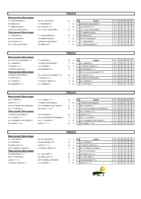# **POULE B**

| 6ème journée (2ème phase) |                          |    |    |    |                           |                 |                |                |          |   |   |                |
|---------------------------|--------------------------|----|----|----|---------------------------|-----------------|----------------|----------------|----------|---|---|----------------|
| T.T. BOUCHARDAIS 2        | - RS ST CYR/LOIRE 6      | 13 | 5  | Rg | Equipe                    | PT I            | J              | $\mathsf{v}$   | N        | D | P | l F            |
| ES AMBILLOU 1             | - T.T. BENAISIEN 3       |    | 11 |    | LANGEAIS-CINQ MARS 5      | 21              |                |                | 0        | 0 |   | $01$ 0         |
| <b>TT SEMBLANCEEN 1</b>   | - US LA RICHE TT 2       | 5  | 13 |    | US LA RICHE TT 2          | 18 <sub>1</sub> |                | 5              |          |   |   | $\overline{0}$ |
| LANGEAIS-CINO MARS 5      | - A.T.T. AZAY-SUR-CHER 1 | 10 | 8  | З  | A.T.T. AZAY-SUR-CHER 1    | 16              |                | 4              |          | 2 |   | $0$   0        |
| 7ème journée (2ème phase) |                          |    |    | 4  | 「SEMBLANCEEN 1            | 15 <sub>1</sub> |                | 4              | $\Omega$ | 3 |   | $01$ 0         |
| <b>T.T. BENAISIEN 3</b>   | - T.T. BOUCHARDAIS 2     | 12 | 6  | 5  | <b>IES AMBILLOU 1</b>     |                 |                |                | 0        | 5 |   | $01$ 0         |
| RS ST CYR/LOIRE 6         | - TT SEMBLANCEEN 1       |    | 17 | 6  | <b>RS ST CYR/LOIRE 6</b>  |                 |                | l 2 l          | 0        | 5 |   | 0 <sup>1</sup> |
| US LA RICHE TT 2          | - LANGEAIS-CINQ MARS 5   | 8  | 10 |    | <b>BENAISIEN 3</b><br>T.T | 11              | $\overline{7}$ | $\overline{2}$ | 0        | 5 |   | $01$ 0         |
| A.T.T. AZAY-SUR-CHER 1    | - ES AMBILLOU 1          |    |    | 8  | . BOUCHARDAIS 2           | 9               |                |                |          |   |   | $\overline{0}$ |
|                           |                          |    |    |    |                           |                 |                |                |          |   |   |                |

### **POULE C**

# **6ème journée (2ème phase)** ES LA VILLE-AUX-DAMES TT 6 - T.T. METTRAY 1 15 3 **Rg PT B ACCIDE PT A CONTRACT ACCIDENT A Equipe PT | J | V | N | D | P** | F A.C. AMBOISE 2 - A.S MONTLOUIS/LOIRE 1 7 11 1 A.C. AMBOISE 2 19 7 6 0 1 0 0 TT BLERE V.C. 3 - U.S. VERNOU 2 13 5 2 TT PARCAY MESLAY 3 18 7 5 1 1 0 0 0 TT PARCAY MESLAY 3 - ES OESIENNE TT 4 9 9 3 ES OESIENNE TT 4 18 7 5 1 1 0 0 **7ème journée (2ème phase)** 4 GS LA VILLE-AUX-DAMES TT 6 13 7 3 0 4 0 0 A.S MONTLOUIS/LOIRE 1 - ES LA VILLE-AUX-DAMES TT 6 10 8 5 TT BLERE V.C. 3  $13$  7 3 0 4 0 0 0 T.T. METTRAY 1 - TT BLERE V.C. 3 5 13 6 A.S. MONTLOUIS/LOIRE 1 4 3 7 3 0 4 0 0 U.S. VERNOU 2 - TT PARCAY MESLAY 3 6 12 7 U.S. VERNOU 2 11 7 2 0 5 0 0 ES OESIENNE TT 4 - A.C. AMBOISE 2 5 13 8 T.T. METTRAY 1  $\begin{bmatrix} 7 & 7 & 0 & 0 & 7 & 0 & 0 \end{bmatrix}$

### **6ème journée (2ème phase)**

| <b>ASTT SORIGNY 1</b>       |
|-----------------------------|
| <b>I ARCAY T T 2</b>        |
| STE CATHERINE DE FIERBOIS 1 |
| A S T T FSVRFS 3            |
| 7ème journée (2ème phase)   |
| TT MONTS ARTANNES 5         |
| A SILIYNESTT3               |
|                             |
| U.S. CHAMBRAY-LES-TOURS 4   |

**6ème journée (2ème phase)**

| A.S. LUYNES T.T.3           |
|-----------------------------|
| TT MONTS ARTANNES 5         |
| U.S. CHAMBRAY-LES-TOURS 4   |
| $-4S$ TOURS T.T. 16         |
|                             |
| ASTT SORIGNY 1              |
| STE CATHERINE DE FIERBOIS 1 |
| A.S.T.T. ESVRES 3           |
| LARCAY T.T. 2               |

| ASTT SORIGNY 1              | - A.S. LUYNES T.T 3           | 18             | F  | Rg | Equipe                         | PT. | V <sub>1</sub> | N. |   | PIF |                  |
|-----------------------------|-------------------------------|----------------|----|----|--------------------------------|-----|----------------|----|---|-----|------------------|
| LARCAY T.T. 2               | - TT MONTS ARTANNES 5         | $\overline{4}$ | 14 |    | <b>TT MONTS ARTANNES 5</b>     | 19  | -6             |    |   |     | $\overline{1}0$  |
| STE CATHERINE DE FIERBOIS 1 | - U.S. CHAMBRAY-LES-TOURS 4   | 12             | 6  |    | <b>ASTT SORIGNY 1</b>          |     | 5              |    |   |     | $\overline{0}$   |
| A.S.T.T. ESVRES 3           | - 4S TOURS T.T. 16            | 15             | 3  |    | TT STE CATHERINE DE FIERBOIS 1 | 15  |                |    |   |     | $\overline{1}0$  |
| 7ème journée (2ème phase)   |                               |                |    |    | 4 A.S. LUYNES T.T 3            | 14  |                |    |   |     |                  |
| TT MONTS ARTANNES 5         | - ASTT SORIGNY 1              | 10             | 8  |    | 5 LARCAY T.T. 2                | 12  |                |    |   |     | $\overline{0}$   |
| A.S. LUYNES T.T 3           | - STE CATHERINE DE FIERBOIS 1 | 9              | 9  |    | 6 A.S.T.T. ESVRES 3            |     |                |    | 5 |     | $\overline{1}$ 0 |
| U.S. CHAMBRAY-LES-TOURS 4   | - A.S.T.T. ESVRES 3           | 5              | 13 |    | U.S. CHAMBRAY-LES-TOURS 4      |     |                |    | 3 |     |                  |
| 4S TOURS T.T. 16            | - LARCAY T.T. 2               | 10             | 8  | 8  | 4S TOURS T.T. 16               | 10  |                |    |   |     |                  |
|                             |                               |                |    |    |                                |     |                |    |   |     |                  |

# **POULE E**

| P.L. PAUL BERT 2              | - RS ST CYR/LOIRE 5      | 9               |
|-------------------------------|--------------------------|-----------------|
| J.S. VERNOU 3                 | - US RENAUDINE TT 6      | 14              |
| ES RIDELLOIS TT 3             | - LARCAY T.T. 3          | 13              |
| <b>ASTT CHEMILLE S/DEME 1</b> | - TT PARCAY MESLAY 4     | 6               |
| 7ème journée (2ème phase)     |                          |                 |
| JS RENAUDINE TT 6             | - P.L. PAUL BERT 2       | 10              |
| <b>RS ST CYR/LOIRE 5</b>      | - ES RIDELLOIS TT 3      | 10 <sup>1</sup> |
| ARCAY T.T. 3                  | - ASTT CHEMILLE S/DEME 1 | 5               |
| <b>TT PARCAY MESLAY 4</b>     | - U.S. VERNOU 3          | 6               |
|                               |                          |                 |

| P.L. PAUL BERT 2          | - RS ST CYR/LOIRE 5      | 9  | 9  | Rg | Equipe                      | PT I            | J | $\mathsf{v}$ | N | D | PF             |  |
|---------------------------|--------------------------|----|----|----|-----------------------------|-----------------|---|--------------|---|---|----------------|--|
| U.S. VERNOU 3             | - US RENAUDINE TT 6      | 14 | 4  |    | U.S. VERNOU 3               | 21              |   |              |   |   | $01$ 0         |  |
| ES RIDELLOIS TT 3         | - LARCAY T.T. 3          | 13 | 5  |    | <b>ITT PARCAY MESLAY 4</b>  | 19 <sub>1</sub> |   | -6           |   |   | 0 <sub>0</sub> |  |
| ASTT CHEMILLE S/DEME_1    | - TT PARCAY MESLAY 4     | 6  | 12 |    | 3 ASTT CHEMILLE S/DEME 1    | 15 I            |   | 4            |   |   | 0 <sub>0</sub> |  |
| 7ème journée (2ème phase) |                          |    |    |    | 4 RS ST CYR/LOIRE 5         | 14 I            |   | 3            |   |   | 0 <sub>0</sub> |  |
| US RENAUDINE TT 6         | - P.L. PAUL BERT 2       | 10 | 8  |    | 5 <b>IES RIDELLOIS TT 3</b> | 13 <sub>1</sub> |   | 3            |   | 4 | 0 <sub>0</sub> |  |
| RS ST CYR/LOIRE 5         | - ES RIDELLOIS TT 3      | 10 | 8  | 6  | P.L. PAUL BERT 2            |                 |   |              |   |   |                |  |
| LARCAY T.T. 3             | - ASTT CHEMILLE S/DEME 1 | 5  | 13 |    | US RENAUDINE TT 6           |                 |   |              |   |   | 0 <sub>0</sub> |  |
| TT PARCAY MESLAY 4        | - U.S. VERNOU 3          | 6  | 12 | 8  | LARCAY T.T. 3               |                 |   |              |   |   | $01$ 0         |  |
|                           |                          |    |    |    |                             |                 |   |              |   |   |                |  |



# **POULE D**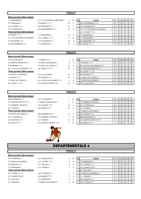### **POULE F**

| 6ème journée (2ème phase)    |                                |                 |    |     |                                     |                 |                  |                |   |   |                |     |
|------------------------------|--------------------------------|-----------------|----|-----|-------------------------------------|-----------------|------------------|----------------|---|---|----------------|-----|
| T.T. BENAISIEN 2             | - A.T.T.ST ANTOINE DU ROCHER 1 | 8               | 10 | Rgl | Equipe                              | PT I            | JI               | v              | N | D | PIF            |     |
| <b>TT CHINONAIS 4</b>        | - ST MICHEL T.T. 1             | 18              | F  |     | <b>AS SAVONNIERES TT 1</b>          | 19 <sup>1</sup> | -7 I             | 6              | 0 |   |                | - 0 |
| A.S. LUYNES T.T 4            | - ES OESIENNE TT 5             | 13              | 5  |     | T ST GENOUPH 4                      |                 | $16 \mid 7 \mid$ | $\overline{4}$ |   | 2 | 0 <sub>0</sub> |     |
| TT ST GENOUPH 4              | - AS SAVONNIERES TT 1          | 12              | 6  |     | <b>A.T.T.ST ANTOINE DU ROCHER 1</b> | 16 <sup>1</sup> |                  | 4              |   | 2 |                | I 0 |
| 7ème journée (2ème phase)    |                                |                 |    |     | 4 A.S. LUYNES T.T 4                 | 14              |                  | 3              |   | 3 |                | 0   |
| ST MICHEL T.T. 1             | - T.T. BENAISIEN 2             | 10              | 8  | 5   | CHINONAIS 4                         | 14              | 7 <sup>1</sup>   | 3              |   | 3 | 0 <sub>0</sub> |     |
| A.T.T.ST ANTOINE DU ROCHER 1 | - A.S. LUYNES T.T 4            | 6               | 12 | 6   | <b>IT.T. BENAISIEN 2</b>            | 13 <sup>1</sup> |                  | 7 3            | 0 | 4 |                | - 0 |
| ES OESIENNE TT 5             | - TT ST GENOUPH 4              | 10 <sup>1</sup> | 8  |     | <b>IES OESIENNE TT 5</b>            | 10 <sup>°</sup> |                  |                |   | 5 | 0 <sup>1</sup> |     |
| AS SAVONNIERES TT 1          | - TT CHINONAIS 4               | 13              | 5  | 8   | <b>ST MICHEL T.T. 1</b>             | 9               |                  |                |   |   |                |     |

### **POULE G**

| 6ème journée (2ème phase)  |                              |    |    |    |                                    |                 |   |              |          |   |                |                  |
|----------------------------|------------------------------|----|----|----|------------------------------------|-----------------|---|--------------|----------|---|----------------|------------------|
| TTC du LOCHOIS 2           | $-$ TT BLERE V.C. 2          | 3  | 15 | Rg | Equipe                             | PT I            | J | $\mathsf{v}$ | N I      | D | P I            | E                |
| ST AVERTIN SPORTS TT 7     | - TT MONTS ARTANNES 3        | 9  | 9  |    | T BLERE V.C. 2                     | 18              |   | 5            |          |   | 0              | $\mathbf 0$      |
| STE MAURE TT 3             | - TT JOUE LES TOURS 8        | 10 | 8  |    | <b>IES LA VILLE-AUX-DAMES TT 5</b> | 18              |   | 5            |          |   |                | $\mathbf 0$      |
| ES LA VILLE-AUX-DAMES TT 5 | $-4S$ TOURS T.T. 15          | 14 | 4  |    | <b>IST AVERTIN SPORTS TT 7</b>     | 17              |   | 4            |          |   |                | $\overline{1}$ 0 |
| 7ème journée (2ème phase)  |                              |    |    |    | <b>4S TOURS T.T. 15</b>            | 14              |   | 3            |          | 3 |                | $\mathbf 0$      |
| TT MONTS ARTANNES 3        | - TTC du LOCHOIS 2           | 14 | 4  | 5. | <b>ISTE MAURE TT 3</b>             | 13              |   | 3            | $\Omega$ | 4 | $0$   0        |                  |
| TT BLERE V.C. 2            | - STE MAURE TT 3             | 10 | 8  |    | 6 TT JOUE LES TOURS 8              | 13              |   | 2            | 2        | 3 |                | $\Omega$         |
| TT JOUE LES TOURS 8        | - ES LA VILLE-AUX-DAMES TT 5 | 9  | 9  |    | <b>ITT MONTS ARTANNES 3</b>        | 12 <sup>2</sup> |   |              | 3        | 3 | 0 <sub>0</sub> |                  |
| 4S TOURS T.T. 15           | - ST AVERTIN SPORTS TT 7     | 10 | 8  | 8  | <b>ITTC du LOCHOIS 2</b>           | 6               |   |              |          |   |                |                  |
|                            |                              |    |    |    |                                    |                 |   |              |          |   |                |                  |

### **6ème journée (2ème phase)**

# BEAUJARDIN BCT 3 - A.P. ST SENOCH 1 7 1

ST AVERTIN SPORTS TT 6 FT MONTS ARTANNES 4 21 1 TT CORMERY-TRUYES 3 - US LA RICHE TT 3 15 C.P. VEIGNE 2 - AS VERETZ TT 4 15 3 3 C.P. VEIGNE 2 16 7 4 1 2 0 0

# **7ème journée (2ème phase)**

A.P. ST SENOCH 1 - TT CORMERY-TRUYES 3 7 1 US LA RICHE TT 3 - C.P. VEIGNE 2 8 1 AS VERETZ TT 4  $\overline{a}$  - ST AVERTIN SPORTS TT 6  $\overline{a}$  6 1

- 
- TT MONTS ARTANNES 4 BEAUJARDIN BCT 3 12
	-
	-
	-



| Rg | Equipe                  | PТ | J | ν | N        | D | Р        | F |
|----|-------------------------|----|---|---|----------|---|----------|---|
|    | TT CORMERY-TRUYES 3     | 21 | 7 | 7 | 0        | 0 | 0        | 0 |
| 2  | A.P. ST SENOCH 1        | 19 | 7 | 6 | 0        |   | 0        | 0 |
| 3  | C.P. VEIGNE 2           | 16 | 7 | 4 | 1        | 2 | 0        | 0 |
| 4  | TT MONTS ARTANNES 4     | 15 | 7 | 4 | 0        | 3 | 0        | 0 |
| 5  | US LA RICHE TT 3        | 13 | 7 | 3 | $\Omega$ | 4 | 0        | 0 |
| 6  | <b>BEAUJARDIN BCT 3</b> | 11 | 7 | 2 | 1        | 3 | $\Omega$ |   |
| 7  | ST AVERTIN SPORTS TT 6  | 9  | 7 | 1 | 0        | 6 | 0        | 0 |
| 8  | AS VERETZ TT 4          | 7  | 7 |   | ი        |   |          |   |



**POULE A**

| 6ème journée (2ème phase) |                       |   |    |    |                             |                 |   |                |   |   |         |                |
|---------------------------|-----------------------|---|----|----|-----------------------------|-----------------|---|----------------|---|---|---------|----------------|
| <b>ASTT SORIGNY 3</b>     | - A.S. FONDETTES 9    | 0 | 10 | Rg | Equipe                      | PT I            | J | ν              | N | D | PIF     |                |
| TT MONTS ARTANNES 6       | - A.S. LUYNES T.T.5   | 4 | 6  |    | <b>ITT CHINONAIS 5</b>      | 18 <sup>1</sup> |   | -5             |   |   | $0$   0 |                |
| STE MAURE TT 5            | - R.C. BALLAN 4       | 6 | 4  |    | A.S. LUYNES T.T 5           | 17              |   | -5             |   |   | 0       |                |
| <b>TT CHINONAIS 5</b>     | $-C.P.$ VEIGNE 3      | 4 | 6  | 3  | A.S. FONDETTES 9            | 17              |   | 4              | 2 |   |         | 0 <sup>1</sup> |
| 7ème journée (2ème phase) |                       |   |    | 4  | R.C. BALLAN 4               | 14 <sub>1</sub> |   | -3             | 2 |   | 0       |                |
| A.S. LUYNES T.T.5         | - ASTT SORIGNY 3      |   | 3  | 5  | <b>ITT MONTS ARTANNES 6</b> | 12 <sub>1</sub> |   | $\overline{2}$ |   | 4 | $01$ 0  |                |
| A.S. FONDETTES 9          | - STE MAURE TT 5      |   | 3  | 6  | C.P. VEIGNE 3               | 11              |   | 2              | 0 | 5 |         | $01$ 0         |
| R.C. BALLAN 4             | - TT CHINONAIS 5      | 5 | 5  |    | <b>ISTE MAURE TT 5</b>      | 11              |   | 2              |   | 3 | 0       |                |
| C.P. VEIGNE 3             | - TT MONTS ARTANNES 6 | 0 | 10 | 8  | <b>ASTT SORIGNY 3</b>       | 9               |   |                |   | 6 |         | 0 <sub>0</sub> |
|                           |                       |   |    |    |                             |                 |   |                |   |   |         |                |

# **POULE H**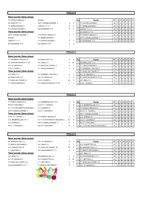### **POULE B**

| 6ème journée (2ème phase) |                        |   |                |    |                           |                 |   |                |   |                |                |    |
|---------------------------|------------------------|---|----------------|----|---------------------------|-----------------|---|----------------|---|----------------|----------------|----|
| TT PARCAY MESLAY 7        | - Exempt               |   |                | Rg | Equipe                    | PT I            | J | V I            | N | D I            | PIF            |    |
| AS VERETZ TT 5            | - ASTT CHEMILLE/DEME 2 | 5 | 5              |    | TT CASTELVALERIE 2        | 18 <sup>1</sup> | 6 | 6 I            |   | 0              | 0 <sub>1</sub> |    |
| TT SEMBLANCEEN 2          | - LARCAY T.T. 4        | 8 | 2              |    | TT SEMBLANCEEN 2          | 16 <sup>1</sup> | 6 | 5              |   |                | 0 <sub>0</sub> |    |
| TT CASTELVALERIE 2        | - ES OESIENNE TT 6     | 9 |                |    | LARCAY T.T. 4             | 14              | 6 | 4              |   | 2              | 0 <sup>1</sup> |    |
| 7ème journée (2ème phase) |                        |   |                |    | AS VERETZ TT 5            | 11 <sup>1</sup> | 6 | 2              |   | 3              | 0 <sup>1</sup> |    |
| ASTT CHEMILLE/DEME 2      | - TT PARCAY MESLAY 7   | 3 | $\overline{7}$ | 5  | <b>TT PARCAY MESLAY 7</b> | 10 <sup>1</sup> | 6 | 2 <sub>1</sub> |   | 4 <sup>1</sup> | 0 <sup>1</sup> |    |
| Exempt                    | - TT SEMBLANCEEN 2     |   |                |    | ASTT CHEMILLE/DEME 2      | 9               | 6 |                |   | 4 I            | 0 <sup>1</sup> |    |
| LARCAY T.T. 4             | - TT CASTELVALERIE 2   | 3 |                |    | <b>IES OESIENNE TT 6</b>  | 6               | 6 |                |   | 6              |                | ΙO |
| ES OESIENNE TT 6          | - AS VERETZ TT 5       | 4 | 6              |    |                           |                 |   |                |   |                |                |    |
|                           |                        |   |                |    |                           |                 |   |                |   |                |                |    |

### **POULE C**

## **6ème journée (2ème phase)**

| II LURMERY-IRUYES 4       | ►    |
|---------------------------|------|
| ST AVERTIN SPORTS TT 10   | - A  |
| A.P. ST SENOCH 2          | - T  |
| C.E.S. TOURS 3            | - T. |
| 7ème journée (2ème phase) |      |
| A.P. ABILLY 2             | - T  |
| <b>ES RIDELLOIS TT 4</b>  | - A  |
| TT JOUE LES TOURS 9       | C    |
| T.T. BOUCHARDAIS 4        | - S  |

| - ES RIDELLOIS TT 4       |
|---------------------------|
| - A.P. ABILLY 2           |
| TT JOUE LES TOURS 9       |
| T.T. BOUCHARDAIS 4        |
|                           |
| TT CORMERY-TRUYES 4       |
| A.P. ST SENOCH 2          |
| C.E.S. TOURS 3            |
| - ST AVERTIN SPORTS TT 10 |

| TT CORMERY-TRUYES 4       | - ES RIDELLOIS TT 4       | 4  | 6        | Rg | Equipe                         | PT I            |   | <b>N</b> | D | PIF |                |
|---------------------------|---------------------------|----|----------|----|--------------------------------|-----------------|---|----------|---|-----|----------------|
| ST AVERTIN SPORTS TT 10   | $-$ A.P. ABILLY 2         |    | 10       |    | <b>IES RIDELLOIS TT 4</b>      | 18 I            | 5 |          |   |     | $01$ 0         |
| A.P. ST SENOCH 2          | - TT JOUE LES TOURS 9     | 3  |          |    | <b>IT.T. BOUCHARDAIS 4</b>     | 18              | 5 |          |   |     | $\overline{0}$ |
| C.E.S. TOURS 3            | - T.T. BOUCHARDAIS 4      |    | 9        |    | <b>ITT CORMERY-TRUYES 4</b>    | 17 I            | 5 |          |   |     | $01$ 0         |
| 7ème journée (2ème phase) |                           |    |          |    | <b>ITT JOUE LES TOURS 9</b>    | 17 <sub>h</sub> | 5 |          |   |     | $01$ 0         |
| A.P. ABILLY 2             | - TT CORMERY-TRUYES 4     | 3  |          |    | 5 A.P. ST SENOCH 2             | 12 <sub>1</sub> |   |          | 4 |     | 0 <sub>0</sub> |
| ES RIDELLOIS TT 4         | - A.P. ST SENOCH 2        |    | 3        |    | <b>ST AVERTIN SPORTS TT 10</b> |                 |   |          |   |     |                |
| TT JOUE LES TOURS 9       | - C.E.S. TOURS 3          | 10 | $\Omega$ |    | A.P. ABILLY 2                  | 9               |   |          | 6 |     | $\overline{0}$ |
| T.T. BOUCHARDAIS 4        | - ST AVERTIN SPORTS TT 10 |    | 3        | 8  | C.E.S. TOURS 3                 | 9               |   |          |   |     | $01$ 0         |

### **POULE D**

# **6ème journée (2ème phase)** TT PARCAY MESLAY 6 - C.S. MEMBROLLAIS TT 3 4 6 **Rg** Equipe **PT J V N D P F** RS ST CYR/LOIRE 7 - A.S.P.T.T. TOURS 1 2 A.T.T.ST ANTOINE DU ROCHER 2 - U.S. VERNOU 5 5 ASTT CHEMILLE/DEME 3 - A.S.T.T. ESVRES 5 9 **7ème journée (2ème phase)** A.S.P.T.T. TOURS 1 - TT PARCAY MESLAY 6 3 C.S. MEMBROLLAIS TT 3 - A.T.T.ST ANTOINE DU ROCHER 2 10 U.S. VERNOU 5 - ASTT CHEMILLE/DEME 3 6 A.S.T.T. ESVRES 5 **8 A.S.T.T.** ESVRES 5 **6**

### **6ème journée (2ème phase)**

# TT MONTS ARTANNES 7 - A.P. ABILLY 3 3 A.S. FONDETTES 10 - TT JOUE LES TOURS 10 2 10 T.T. METTRAY 2 **AS SAVONNIERES TT 2** 5 <u>7ème journée (2ème phase)</u> A.P. ABILLY 3 - EP MARIGNY RILLY 1 2 A.P. ST SENOCH 3 - A.S. FONDETTES 10 0 TT JOUE LES TOURS 10 - T.T. METTRAY 2 4 AS SAVONNIERES TT 2 <sup>-</sup> TT MONTS ARTANNES 7 3

| EP MARIGNY RILLY 1  | - A.P. ST SENOCH 3     | 9  |
|---------------------|------------------------|----|
| TT MONTS ARTANNES 7 | - A.P. ABILLY 3        | 3  |
| A.S. FONDETTES 10   | - TT JOUE LES TOURS 10 | 10 |
|                     |                        |    |

- 
- 
- 
- 
- 

|    | Rg | Equipe               | PT | J | ν | N        | D        | Р        | F        |
|----|----|----------------------|----|---|---|----------|----------|----------|----------|
|    |    | A.S. FONDETTES 10    | 21 | 7 | 7 | $\Omega$ | $\Omega$ | 0        | $\Omega$ |
| 0  | 2  | EP MARIGNY RILLY 1   | 17 | 7 | 5 | $\Omega$ | 2        | $\Omega$ | $\Omega$ |
| 5  | 3  | TT MONTS ARTANNES 7  | 16 | 7 | 4 | 1        | 2        | $\Omega$ | 0        |
|    | 4  | A.P. ABILLY 3        | 15 | 7 | 4 | $\Omega$ | 3        | $\Omega$ | $\Omega$ |
| 8  | 5  | AS SAVONNIERES TT 2  | 14 | 7 | 3 | 1        | 3        | $\Omega$ | $\Omega$ |
| 10 | 6  | T.T. METTRAY 2       | 13 | 7 | 2 | 2        | 3        | $\Omega$ | $\Omega$ |
| 6  | 7  | TT JOUE LES TOURS 10 | 9  | 7 | 1 | $\Omega$ | 6        | $\Omega$ | $\Omega$ |
| 7  | 8  | A.P. ST SENOCH 3     | 7  | 7 | O | O        |          | ი        | U        |

| v | ۰.ч | ∟uup∈                        |    |   |                |          | ◡ |          |             |
|---|-----|------------------------------|----|---|----------------|----------|---|----------|-------------|
| 8 |     | C.S. MEMBROLLAIS TT 3        | 20 |   | 6              |          | 0 | 0        | 0           |
| 5 | 2   | TT PARCAY MESLAY 6           | 17 |   | 4              | 2        |   | 0        | 0           |
| 1 | 3   | A.S.P.T.T. TOURS 1           | 15 |   | 3              | 2        | 2 | 0        | $\mathbf 0$ |
|   | 4   | <b>ASTT CHEMILLE/DEME 3</b>  | 15 |   | 3              | 2        | 2 | 0        | $\mathbf 0$ |
| 7 | 5   | U.S. VERNOU 5                | 15 | 7 | 2              | 4        | 1 | $\Omega$ | $\Omega$    |
| 0 | 6   | A.S.T.T. ESVRES 5            | 13 |   | $\overline{2}$ | 2        | 3 | 0        | $\Omega$    |
| 4 |     | RS ST CYR/LOIRE 7            | 9  | 7 | 1              | $\Omega$ | 6 | 0        | $\Omega$    |
| 4 | 8   | A.T.T.ST ANTOINE DU ROCHER 2 | 8  |   | $\Omega$       |          | 6 | 0        | $\mathbf 0$ |

### **POULE E**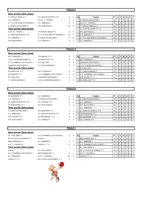| . . |  |
|-----|--|
|     |  |

| 6ème journée (2ème phase)    |                                |                 |          |     |                                     |                 |   |    |                |   |                |                |
|------------------------------|--------------------------------|-----------------|----------|-----|-------------------------------------|-----------------|---|----|----------------|---|----------------|----------------|
| TT PARCAY MESLAY 5           | - ST AVERTIN SPORTS TT 8       | 8               | 2        | Rql | Equipe                              | PT I            | J |    | N              | D | P I            | E              |
| U.S. VERNOU 4                | - A.S.P.T.T. TOURS 2           | 2               | 8        |     | A.S MONTLOUIS/LOIRE 3               | 21              |   |    |                |   | $\overline{0}$ | $\overline{0}$ |
| A T.T.ST ANTOINE DU ROCHER 3 | - A.C. AMBOISE 4               | 6               | 4        |     | A.S.P.T.T. TOURS 2                  | 19              |   | -6 |                |   |                | $01$ 0         |
| A.S. MONTLOUIS/LOIRE 3       | - PPC MARTINOIS 2              | 10              | $\Omega$ |     | <b>ITT PARCAY MESLAY 5</b>          | 14              |   |    | 3              |   |                | $01$ 0         |
| 7ème journée (2ème phase)    |                                |                 |          | 4   | <b>IST AVERTIN SPORTS TT 8</b>      | 13 <sup>1</sup> |   |    |                |   | $\Omega$       | $\overline{0}$ |
| A S P T T TOURS 2            | - TT PARCAY MESLAY 5           | 8               | 2        | 5   | <b>PPC MARTINOIS 2</b>              | 13              |   | 3  |                |   |                | $01$ 0         |
| ST AVERTIN SPORTS TT 8       | - A.T.T.ST ANTOINE DU ROCHER 3 | 10 <sup>1</sup> |          | 6   | <b>U.S. VERNOU 4</b>                | 12              |   |    | -3             | 3 | $\Omega$       | $\overline{0}$ |
| A.C. AMBOISE 4               | - A.S MONTLOUIS/LOIRE 3        | $\Omega$        | 10       |     | <b>A.T.T.ST ANTOINE DU ROCHER 3</b> | 10 <sub>1</sub> |   |    |                |   |                |                |
| PPC MARTINOIS 2              | - U.S. VERNOU 4                | 8               |          | 8   | A.C. AMBOISE 4                      | 9               |   |    | $\overline{2}$ |   |                | $01$ 0         |

# **POULE G**

| 6ème journée (2ème phase) |                             |   |    |    |                            |           |                |                |             |          |                |
|---------------------------|-----------------------------|---|----|----|----------------------------|-----------|----------------|----------------|-------------|----------|----------------|
| <b>ASTT SORIGNY 2</b>     | - STE MAURE TT 4            | 8 |    | Rg | Equipe                     | <b>PT</b> | v              |                | <b>NIDI</b> | P        | . F            |
| U.S.E. AVOINE-BEAUMONT 2  | - ES RIDELLOIS TT 5         | 9 |    |    | <b>ASTT SORIGNY 2</b>      | 20        | 6              |                |             |          | $\overline{0}$ |
| U.S. CHAMBRAY-LES-TOURS 5 | - R.C. BALLAN 5             | 4 | 6  |    | LANGEAIS-CINQ MARS 6       | 19 I      | 6              | 0              |             | 0        | - 0            |
| LANGEAIS-CINQ MARS 6      | - T.T. BOUCHARDAIS 3        | 8 | 2  | 3  | U.S.E. AVOINE-BEAUMONT 2   |           | 4              |                |             | 0        | $\overline{0}$ |
| 7ème journée (2ème phase) |                             |   |    | 4  | R.C. BALLAN 5              | 15        | $\overline{4}$ | $\Omega$       | 3           | $\Omega$ | $\Omega$       |
| <b>ES RIDELLOIS TT 5</b>  | - ASTT SORIGNY 2            |   | -9 | 5  | <b>IT.T. BOUCHARDAIS 3</b> | 12        |                | 3 <sub>1</sub> | 3           | 0        | $\overline{0}$ |
| STE MAURE TT 4            | - U.S. CHAMBRAY-LES-TOURS 5 | 5 | 5  | 6  | U.S. CHAMBRAY-LES-TOURS 5  | 11        |                |                | 4           | 0        | $\overline{0}$ |
| R.C. BALLAN 5             | - LANGEAIS-CINQ MARS 6      | 3 |    |    | <b>STE MAURE TT 4</b>      |           |                | $\overline{2}$ |             | 0        | $\Omega$       |
| T.T. BOUCHARDAIS 3        | - U.S.E. AVOINE-BEAUMONT 2  | 5 |    | 8  | <b>IES RIDELLOIS TT 5</b>  |           |                |                |             |          |                |
|                           |                             |   |    |    |                            |           |                |                |             |          |                |

# **6ème journée (2ème phase)**

| <b>FS OFSIENNE TT 7</b>   |
|---------------------------|
| U.S. VERNOU 6             |
| ST AVERTIN SPORTS TT 9    |
| US RENAUDINE TT 8         |
| 7ème journée (2ème phase) |
| A.S MONTLOUIS/LOIRE 2     |
| A C. AMBOISE 6            |
| US LA RICHE TT 4          |
| ATT AZAY/CHER 3           |

# **POULE H**

**POULE I**

| - A C AMBOISE 6          | 2 |
|--------------------------|---|
| - A.S MONTLOUIS/LOIRE 2  | 6 |
| - US LA RICHE TT 4       | 6 |
| - ATT AZAY/CHER 3        |   |
|                          |   |
| - FS OFSIENNE TT 7       |   |
| - ST AVERTIN SPORTS TT 9 | Δ |
| - US RENAUDINE TT 8      | 4 |
| - U.S. VERNOU 6          | 5 |
|                          |   |

| ES OESIENNE TT 7          | - A.C. AMBOISE 6         | $\overline{2}$ | 8 | Rg | Equipe                   | PT I            | J |    | N        | D | PIF       |                  |
|---------------------------|--------------------------|----------------|---|----|--------------------------|-----------------|---|----|----------|---|-----------|------------------|
| U.S. VERNOU 6             | - A.S MONTLOUIS/LOIRE 2  | 6              | 4 |    | A.S MONTLOUIS/LOIRE 2    | 19              |   |    |          |   |           | $\overline{1}$ 0 |
| ST AVERTIN SPORTS TT 9    | - US LA RICHE TT 4       | 6              | 4 |    | 2 U.S. VERNOU 6          | 18 I            |   |    |          |   |           | $\overline{1}$ 0 |
| US RENAUDINE TT 8         | - ATT AZAY/CHER 3        | 4              | 6 |    | 3 ATT AZAY/CHER 3        | 16 I            |   | -3 | 3        |   |           | 0 <sub>0</sub>   |
| 7ème journée (2ème phase) |                          |                |   |    | 4 A.C. AMBOISE 6         | 13 I            |   | -3 | $\Omega$ |   |           | 0 <sub>0</sub>   |
| A.S MONTLOUIS/LOIRE 2     | - ES OESIENNE TT 7       |                | 3 |    | 5 ST AVERTIN SPORTS TT 9 | 13 I            |   |    |          |   |           | $0$   $0$        |
| A.C. AMBOISE 6            | - ST AVERTIN SPORTS TT 9 | 4              | 6 |    | 6 US RENAUDINE TT 8      | 12 <sub>1</sub> |   |    |          |   |           | $\overline{1}$ 0 |
| US LA RICHE TT 4          | - US RENAUDINE TT 8      | 4              | 6 |    | <b>IES OESIENNE TT 7</b> |                 |   | -2 | 0        | 5 | $0$   $0$ |                  |
| ATT AZAY/CHER 3           | - U.S. VERNOU 6          | 5              |   |    | 8 US LA RICHE TT 4       | 10 I            |   |    |          | 5 |           | 0 <sub>0</sub>   |

| 6ème journée (2ème phase) |  |  |
|---------------------------|--|--|
|                           |  |  |

| F.L. FAUL DEN I J          |
|----------------------------|
| ES LA VILLE-AUX-DAMES TT 7 |
| <b>BEAUJARDIN BCT 4</b>    |
| A.S.T.T. ESVRES 4          |
|                            |
| 7ème journée (2ème phase   |
| Exempt                     |
| U.S. CHAMBRAY-LES-TOURS 6  |

| P.L. PAUL BERT 3           | - U.S. CHAMBRAY-LES-TOURS 6  | 5               | 5 |
|----------------------------|------------------------------|-----------------|---|
| ES LA VILLE-AUX-DAMES TT 7 | - Exempt                     |                 |   |
| <b>BEAUJARDIN BCT 4</b>    | - A.C. AMBOISE 5             | 5               | 5 |
| A.S.T.T. ESVRES 4          | - LARCAY T.T. 5              | 8               | 2 |
| 7ème journée (2ème phase)  |                              |                 |   |
| Exempt                     | - P.L. PAUL BERT 3           |                 |   |
| U.S. CHAMBRAY-LES-TOURS 6  | - BEAUJARDIN BCT 4           | 3               | 7 |
| A.C. AMBOISE 5             | - A.S.T.T. ESVRES 4          | 10 <sup>1</sup> | C |
| LARCAY T.T. 5              | - ES LA VILLE-AUX-DAMES TT 7 | 3               | 7 |
|                            |                              |                 |   |



| $331119$ $1411199$ $1491119$ $1411999$ |                               |        |   |    |                              |                 |        |       |   |    |     |                  |
|----------------------------------------|-------------------------------|--------|---|----|------------------------------|-----------------|--------|-------|---|----|-----|------------------|
| P.L. PAUL BERT 3                       | - U.S. CHAMBRAY-LES-TOURS 6   | 5      | 5 | Rg | Equipe                       | PT.             |        | 1 V I | N | D. | PIF |                  |
| ES LA VILLE-AUX-DAMES TT 7             | - Exempt                      |        |   |    | <b>BEAUJARDIN BCT 4</b>      |                 | 6      | -5    |   |    |     | $\overline{0}$   |
| <b>BEAUJARDIN BCT 4</b>                | - A.C. AMBOISE 5              | 5      | 5 |    | A.C. AMBOISE 5               | 15              | 6      | -4    |   |    |     | $\overline{0}$   |
| A.S.T.T. ESVRES 4                      | - LARCAY T.T. 5               | 8      | 2 |    | 3 U.S. CHAMBRAY-LES-TOURS 6  | 15              |        | -4    |   |    |     |                  |
| 7ème journée (2ème phase)              |                               |        |   |    | 4 P.L. PAUL BERT 3           |                 | 13 6 1 | l 3   |   |    |     | $\overline{1}$ 0 |
| Exempt                                 | - P.L. PAUL BERT 3            |        |   |    | 5 ES LA VILLE-AUX-DAMES TT 7 | 10 <sup>1</sup> |        | 621   |   | 4  |     | $\overline{1}$ 0 |
| U.S. CHAMBRAY-LES-TOURS 6              | - BEAUJARDIN BCT 4            | 3      |   |    | 6 A.S.T.T. ESVRES 4          | 8               |        |       | 0 | 5  |     | $\overline{0}$   |
| A.C. AMBOISE 5                         | - A.S.T.T. ESVRES 4           | 10     |   |    | LARCAY T.T. 5                | 6               |        |       |   |    |     |                  |
| 1.0001V T T E                          | $FCH$ A VILLE ALIV DAME CTT 7 | $\sim$ |   |    |                              |                 |        |       |   |    |     |                  |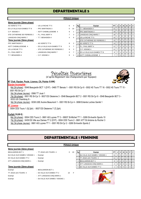# **DEPARTEMENTALE 5**

## **POULE Unique**

## **6ème journée (2ème phase)**

| AS VERETZ TT 6              |
|-----------------------------|
| ES LA VILLE-AUX-DAMES TT 8  |
| C P VEIGNE 4                |
| STE CATHERINE DE FIERBOIS 2 |
| <b>LANGEAIS-CINO MARS 7</b> |
|                             |
| 7ème journée (2ème phase)   |
| <b>PPC MARTINOIS 3</b>      |
| <b>ASTT CHEMILLE/DEME 4</b> |
| US LA RICHE TT 5            |

| AS VERETZ TT 6              | - US LA RICHE TT 5            | 6              |
|-----------------------------|-------------------------------|----------------|
| ES LA VILLE-AUX-DAMES TT 8  | - PPC MARTINOIS 3             | $\Omega$       |
| C.P. VEIGNE 4               | - ASTT CHEMILLE/DEME 4        | 9              |
| STE CATHERINE DE FIERBOIS 2 | - P.L. PAUL BERT 4            | $\overline{7}$ |
| LANGEAIS-CINQ MARS 7        | - T.T. BENAISIEN 4            | 4              |
| 7ème journée (2ème phase)   |                               |                |
| <b>PPC MARTINOIS 3</b>      | - AS VERETZ TT 6              | 8              |
| ASTT CHEMILLE/DEME 4        | - ES LA VILLE-AUX-DAMES TT 8  | 3              |
| US LA RICHE TT 5            | - STE CATHERINE DE FIERBOIS 2 | 8              |
| P.L. PAUL BERT 4            | - LANGEAIS-CINO MARS 7        | 3              |
| T.T. BENAISIEN 4            | $-$ C.P. VEIGNE 4             | 9              |

| PIF            | D | N |    | JI         | PT I            | Equipe                              | Rg | 4  | 6        | - US LA RICHE TT 5            | AS VERETZ TT 6                      |
|----------------|---|---|----|------------|-----------------|-------------------------------------|----|----|----------|-------------------------------|-------------------------------------|
| $01$ 0         |   |   |    |            | 21              | <b>T.T. BENAISIEN 4</b>             |    | 10 | $\Omega$ | - PPC MARTINOIS 3             | ES LA VILLE-AUX-DAMES TT 8          |
| $0$   0        |   |   | -6 | $19$   $7$ |                 | 2 PPC MARTINOIS 3                   |    |    | 9        | - ASTT CHEMILLE/DEME 4        | C.P. VEIGNE 4                       |
| $0$   0        |   |   | -5 |            | 18 <sup>1</sup> | LANGEAIS-CINQ MARS 7                |    | 3  | 7        | - P.L. PAUL BERT 4            | STE CATHERINE DE FIERBOIS 2         |
| 0 0            |   |   |    |            | 15 <sub>1</sub> | US LA RICHE TT 5                    |    | 6  | 4        | - T.T. BENAISIEN 4            | LANGEAIS-CINQ MARS 7                |
| $01$ 0         | 3 | 0 | 4  |            | $-151$          | <b>ISTE CATHERINE DE FIERBOIS 2</b> |    |    |          |                               | 7ème journée (2ème phase)           |
| $0$   0        | 3 |   | 3  |            | 14 I            | AS VERETZ TT 6                      | 6. | 2  | 8        | - AS VERETZ TT 6              |                                     |
| $01$ 0         | 5 |   |    |            |                 | P.L. PAUL BERT 4                    |    |    | 3        | - ES LA VILLE-AUX-DAMES TT 8  | <b>ASTT CHEMILLE/DEME 4</b>         |
| $01$ 0         | 5 |   |    |            |                 | C.P. VEIGNE 4                       |    | 2  | 8        | - STE CATHERINE DE FIERBOIS 2 | US LA RICHE TT 5                    |
| 0 <sup>1</sup> | 6 |   |    |            |                 | <b>ES LA VILLE-AUX-DAMES TT 8</b>   |    |    | 3        | - LANGEAIS-CINQ MARS 7        | P.L. PAUL BERT 4                    |
| $0$   0        |   |   |    |            |                 | 10 ASTT CHEMILLE/DEME 4             |    |    | 9        | $-$ C.P. VEIGNE 4             |                                     |
|                |   |   |    |            |                 |                                     |    |    |          |                               | PPC MARTINOIS 3<br>T.T. BENAISIEN 4 |



# **DEPARTEMENTALE 1 FEMININE**

|                                |                                  | <b>POULE Unique</b> |     |    |                                       |                |   |   |     |   |                |                |
|--------------------------------|----------------------------------|---------------------|-----|----|---------------------------------------|----------------|---|---|-----|---|----------------|----------------|
| 6ème journée (2ème phase)      |                                  |                     |     |    |                                       |                |   |   |     |   |                |                |
| <b>BEAUJARDIN BCT 1</b>        | - TT JOUE LES TOURS 4            | 0                   | 10  | Rg | Equipe                                | PT I           | J |   | - N | D | P.             | F              |
| Ent VILLE AUX DAMES / VEIGNE 1 | - Exempt                         |                     |     |    | <b>Ent VILLE AUX DAMES / VEIGNE 1</b> | 11             |   | 3 |     |   | $\overline{0}$ | $\overline{0}$ |
| ES VILLE AUX DAMES TT 2        | - Exempt                         |                     |     |    | <b>ITT JOUE LES TOURS 4</b>           | 11             | 4 | 3 |     |   | $\overline{0}$ | $\mathbf 0$    |
| ATT LANGEAIS-CINQ MARS 1       | - Exempt                         |                     |     | 3  | <b>BEAUJARDIN BCT 1</b>               | 8              |   |   |     |   | $\overline{0}$ | $\mathbf 0$    |
|                                |                                  |                     |     | 4  | <b>ATT LANGEAIS-CINQ MARS 1</b>       | $\overline{2}$ | 3 | 0 |     | 2 | $\Omega$       |                |
| 7ème journée (2ème phase)      |                                  |                     |     | 5  | <b>ES VILLE AUX DAMES TT 2</b>        |                | 3 |   |     |   | $\Omega$       | 2              |
| Exempt                         | - BEAUJARDIN BCT 1               |                     |     |    |                                       |                |   |   |     |   |                |                |
| TT JOUE LES TOURS 4            | - ES VILLE AUX DAMES TT 2        | 10 <sup>1</sup>     | - F |    | $\sqrt{2}$                            |                |   |   |     |   |                |                |
| Exempt                         | - ATT LANGEAIS-CINQ MARS 1       |                     |     |    |                                       |                |   |   |     |   |                |                |
| Exempt                         | - Ent VILLE AUX DAMES / VEIGNE 1 |                     |     |    |                                       |                |   |   |     |   |                |                |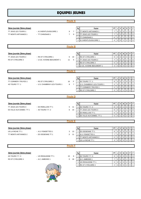# **EQUIPES JEUNES**

|                           |                             | <b>Poule A</b>      |                                              |                                                                                           |
|---------------------------|-----------------------------|---------------------|----------------------------------------------|-------------------------------------------------------------------------------------------|
|                           |                             |                     |                                              |                                                                                           |
| 3ème journée (3ème phase) |                             |                     | Rg<br>Equipe                                 | PT<br>V<br>P<br>-F<br>N<br>D<br>J                                                         |
| TT JOUE LES TOURS 1       | - A.S MONTLOUIS/LOIRE 1     | $\overline{7}$<br>9 | <b>TT MONTS ARTANNES 1</b><br>$\mathbf{1}$   | $\overline{7}$<br>3<br>$\overline{2}$<br>$\mathbf 0$<br>$\mathbf 0$<br>$\Omega$           |
| TT MONTS ARTANNES 1       | - TT CHINONAIS 1            | 9<br>$\overline{7}$ | <b>TT JOUE LES TOURS 1</b><br>$\overline{2}$ | $\overline{7}$<br>3<br>$\overline{2}$<br>0<br>$\overline{0}$<br>0<br>1                    |
|                           |                             |                     | 3<br><b>TT CHINONAIS 1</b>                   | 3<br>6<br>0<br>$\overline{0}$<br>1<br>1<br>1                                              |
|                           |                             |                     | A.S MONTLOUIS/LOIRE 1<br>$\overline{4}$      | 3<br>$\overline{2}$<br>$\overline{0}$<br>$\overline{4}$<br>$\mathbf 0$<br>0               |
|                           |                             |                     |                                              |                                                                                           |
|                           |                             | <b>Poule B</b>      |                                              |                                                                                           |
|                           |                             |                     |                                              |                                                                                           |
|                           |                             |                     |                                              |                                                                                           |
| 3ème journée (3ème phase) |                             |                     | Rg<br>Equipe                                 | PT<br>V<br>P<br>-F<br>Ν<br>D<br>J                                                         |
| TT JOUE LES TOURS 2       | - RS ST CYR/LOIRE 1         | 10<br>6             | RS ST CYR/LOIRE 1<br>$\mathbf{1}$            | 3<br>9<br>3<br>0<br>$\mathbf 0$<br>$\mathbf 0$<br>0                                       |
| RS ST CYR/LOIRE 3         | - U.S.E. AVOINE-BEAUMONT 1  | 5<br>11             | <b>TT JOUE LES TOURS 2</b><br>$\overline{2}$ | $\overline{2}$<br>$\overline{7}$<br>3<br>$\mathbf 0$<br>0<br>$\mathbf 0$                  |
|                           |                             |                     | RS ST CYR/LOIRE 3<br>3                       | $\sqrt{5}$<br>3<br>$\overline{c}$<br>0<br>$\overline{0}$<br>$\mathbf{1}$<br>0             |
|                           |                             |                     | U.S.E. AVOINE-BEAUMONT 1<br>$\overline{4}$   | 3<br>3<br>$\mathbf 0$<br>3<br>0<br>$\overline{0}$<br>0                                    |
|                           |                             |                     |                                              |                                                                                           |
|                           |                             | <b>Poule C</b>      |                                              |                                                                                           |
|                           |                             |                     |                                              |                                                                                           |
| 3ème journée (3ème phase) |                             |                     | Rg<br>Equipe                                 | PT<br>۷<br>N<br>D<br>P<br>F<br>J                                                          |
| TT CORMERY-TRUYES 1       | - RS ST CYR/LOIRE 2         | 16<br>F.            | 4S TOURS T.T. 1<br>$\mathbf{1}$              | 8<br>3<br>$\overline{2}$<br>0<br>0<br>$\overline{0}$<br>1                                 |
| 4S TOURS T.T. 1           | - U.S. CHAMBRAY-LES-TOURS 1 | 9<br>$\overline{7}$ | 2 U.S. CHAMBRAY-LES-TOURS 1                  | $\mathbf{3}$<br>5<br>$\mathbf{1}$<br>$\mathsf 0$<br>$\overline{c}$<br>0<br>$\overline{0}$ |
|                           |                             |                     | TT CORMERY-TRUYES 1<br>3                     | 3<br>5<br>$\mathbf{1}$<br>$\mathbf 0$<br>$\overline{2}$<br>0<br>$\mathbf 0$               |
|                           |                             |                     | $\overline{4}$<br>RS ST CYR/LOIRE 2          | 5<br>3<br>$\mathbf 0$<br>$\mathbf 0$                                                      |
|                           |                             |                     |                                              |                                                                                           |
|                           |                             | <b>Poule D</b>      |                                              |                                                                                           |
|                           |                             |                     |                                              |                                                                                           |
| 3ème journée (3ème phase) |                             |                     |                                              |                                                                                           |
|                           |                             |                     |                                              |                                                                                           |
|                           |                             |                     | Rg<br>Equipe                                 | PT<br>v<br>Ν<br>D<br>P<br>-F<br>J                                                         |
| TT JOUE LES TOURS 3       | - ES RIDELLOIS TT 1         | 11<br>5             | 4S TOURS T.T. 2<br>$\mathbf{1}$              | 3<br>8<br>$\overline{2}$<br>$\mathbf 0$<br>0<br>$\overline{0}$<br>1                       |
| ES VILLE AUX DAMES TT 1   | - 4S TOURS T.T. 2           | 6<br>10             | 2 TT JOUE LES TOURS 3                        | 6<br>$\mathbf{3}$<br>$\mathbf{1}$<br>0<br>$\mathbf{1}$<br>$\mathbf{1}$<br>$\overline{0}$  |
|                           |                             |                     | <b>ES RIDELLOIS TT 1</b><br>3                | 3<br>5<br>$\overline{2}$<br>$\mathbf{1}$<br>0<br>0<br>$\mathbf 0$                         |
|                           |                             |                     | ES VILLE AUX DAMES TT 1<br>$\overline{4}$    | 5<br>3<br>$\overline{2}$<br>$\mathbf 0$<br>$\mathbf 0$<br>0<br>1                          |
|                           |                             |                     |                                              |                                                                                           |
|                           |                             | <b>Poule E</b>      |                                              |                                                                                           |
|                           |                             |                     |                                              |                                                                                           |
| 3ème journée (3ème phase) |                             |                     | Rg<br>Equipe                                 | PT<br>V<br>N<br>D<br>P<br>F<br>J                                                          |
| US LA RICHE TT 1          | - A.S. FONDETTES 1          | 13<br>3             | ES OESIENNE TT 1<br>$\mathbf{1}$             | 9<br>3<br>3<br>0<br>$\mathbf 0$<br>0<br>0                                                 |
| TT MONTS ARTANNES 2       | - ES OESIENNE TT 1          | 5<br>11             | 2 A.S. FONDETTES 1                           | $\mathbf{3}$<br>$\overline{2}$<br>$\overline{7}$<br>0<br>0<br>$\overline{0}$<br>1         |
|                           |                             |                     | <b>TT MONTS ARTANNES 2</b><br>3              | 3<br>5<br>$\overline{c}$<br>0<br>$\mathbf{1}$<br>0<br>$\overline{0}$                      |
|                           |                             |                     | US LA RICHE TT 1<br>4                        | 3<br>3<br>3<br>0<br>$\mathbf 0$<br>$\mathbf 0$<br>$\mathbf 0$                             |
|                           |                             |                     |                                              |                                                                                           |
|                           |                             | <b>Poule F</b>      |                                              |                                                                                           |
|                           |                             |                     |                                              |                                                                                           |
| 3ème journée (3ème phase) |                             |                     | Rg<br>Equipe                                 | PT<br>V<br>N<br>D<br>P<br>F<br>J                                                          |
| 4S TOURS T.T. 3           | - US RENAUDINE TT 1         | 10<br>6             | 4S TOURS T.T. 3<br>$\mathbf{1}$              | 9<br>3<br>3<br>$\mathbf 0$<br>0<br>0<br>$\mathbf 0$                                       |
| RS ST CYR/LOIRE 4         | - A.C. AMBOISE 1            | 16<br>0             | A.C. AMBOISE 1<br>2                          | $\overline{7}$<br>3<br>$\overline{2}$<br>$\overline{0}$<br>0<br>0<br>1                    |
|                           |                             |                     | US RENAUDINE TT 1<br>3                       | 5<br>3<br>$\mathbf{1}$<br>2<br>0<br>$\overline{0}$<br>0                                   |
|                           |                             |                     | RS ST CYR/LOIRE 4<br>4                       | $\sqrt{2}$<br>3<br>$\mathbf 0$<br>$\overline{2}$<br>0<br>0                                |

The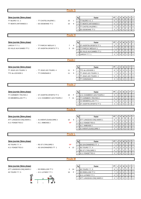|                           |                             | <b>Poule G</b>      |                |                                |                |                |                |                  |                |              |                |
|---------------------------|-----------------------------|---------------------|----------------|--------------------------------|----------------|----------------|----------------|------------------|----------------|--------------|----------------|
|                           |                             |                     |                |                                |                |                |                |                  |                |              |                |
| 3ème journée (3ème phase) |                             |                     | Rg             | Equipe                         | PT             | J              | V              | N                | D              | P            | F              |
| TT BLERE V.C. 1           | - TT CASTELVALERIE 1        | 15<br>$\mathbf{1}$  | $\mathbf{1}$   | TT BLERE V.C. 1                | 6              | $\overline{2}$ | $\overline{2}$ | $\mathbf 0$      | $\Omega$       | $\mathbf 0$  | $\mathbf 0$    |
| TT MONTS ARTANNES 3       | - ES OESIENNE TT 2          | 6<br>10             | $\overline{2}$ | <b>TT MONTS ARTANNES 3</b>     | 6              | $\sqrt{2}$     | $\overline{2}$ | $\mathbf 0$      | $\mathbf 0$    | $\mathbf 0$  | $\mathbf 0$    |
|                           |                             |                     | 3              | <b>TT CASTELVALERIE 1</b>      | 5              | 3              | $\overline{1}$ | $\mathbf 0$      | $\overline{2}$ | $\pmb{0}$    | $\mathbf 0$    |
|                           |                             |                     | $\overline{4}$ | ES OESIENNE TT 2               | 3              | 3              | $\mathbf 0$    | $\mathbf 0$      | 3              | $\mathbf 0$  | $\mathbf 0$    |
|                           |                             |                     |                |                                |                |                |                |                  |                |              |                |
|                           |                             | <b>Poule H</b>      |                |                                |                |                |                |                  |                |              |                |
|                           |                             |                     |                |                                |                |                |                |                  |                |              |                |
| 3ème journée (3ème phase) |                             |                     | Rg             | Equipe                         | PT             | J              | V              | N                | D              | P            | F              |
| LARCAY T.T. 1             | - TT PARCAY MESLAY 1        | 9<br>$\overline{7}$ | $\mathbf{1}$   | ST AVERTIN SPORTS TT 1         | 9              | 3              | 3              | $\mathbf 0$      | $\mathbf 0$    | $\mathbf 0$  | $\mathbf 0$    |
| ES VILLE AUX DAMES TT 2   | - ST AVERTIN SPORTS TT 1    | 3<br>13             |                | 2 TT PARCAY MESLAY 1           | $\overline{7}$ | $\mathbf{3}$   | $\overline{2}$ | $\mathbf 0$      | $\mathbf{1}$   | $\mathbf 0$  | $\mathbf 0$    |
|                           |                             |                     | 3              | <b>ES VILLE AUX DAMES TT 2</b> | 5              | 3              | $\overline{1}$ | $\boldsymbol{0}$ | $\sqrt{2}$     | $\pmb{0}$    | $\mathbf 0$    |
|                           |                             |                     | 4              | LARCAY T.T. 1                  | 3              | 3              | $\mathbf 0$    | $\Omega$         | 3              | $\mathbf 0$  | $\mathbf 0$    |
|                           |                             |                     |                |                                |                |                |                |                  |                |              |                |
|                           |                             | <b>Poule</b>        |                |                                |                |                |                |                  |                |              |                |
|                           |                             |                     |                |                                |                |                |                |                  |                |              |                |
| 3ème journée (3ème phase) |                             |                     | Rg             | Equipe                         | PT             | J              | V              | N                | D              | P            | F              |
| TT JOUE LES TOURS 5       | - TT JOUE LES TOURS 4       | 11<br>5             | $\mathbf{1}$   | TTC du LOCHOIS 1               | 9              | 3              | 3              | $\mathbf 0$      | $\mathbf 0$    | $\mathbf 0$  | $\mathbf 0$    |
| TTC du LOCHOIS 1          | - TT CHINONAIS 2            | 11<br>5             | $\overline{2}$ | TT JOUE LES TOURS 5            | $\overline{7}$ | $\mathbf{3}$   | $\overline{2}$ | $\mathbf 0$      | 1              | $\mathbf 0$  | $\mathbf 0$    |
|                           |                             |                     | 3              | <b>TT JOUE LES TOURS 4</b>     | 5              | 3              | $\mathbf{1}$   | $\mathbf 0$      | $\overline{2}$ | 0            | $\mathbf 0$    |
|                           |                             |                     | $\overline{4}$ | <b>TT CHINONAIS 2</b>          | 3              | 3              | $\mathbf 0$    | $\Omega$         | 3              | $\mathbf 0$  | $\mathbf 0$    |
|                           |                             |                     |                |                                |                |                |                |                  |                |              |                |
|                           |                             | <b>Poule J</b>      |                |                                |                |                |                |                  |                |              |                |
|                           |                             |                     |                |                                |                |                |                |                  |                |              |                |
| 3ème journée (3ème phase) |                             |                     | Rg             | Equipe                         | PT             | J              | V              | N                | D              | P            | F              |
| TT CORMERY-TRUYES 2       | - ST AVERTIN SPORTS TT 2    | F<br>16             | $\mathbf{1}$   | U.S. CHAMBRAY-LES-TOURS 2      | 9              | 3              | 3              | $\mathbf 0$      | $\mathbf 0$    | $\mathbf 0$  | $\mathsf 0$    |
| CS MEMBROLLAIS TT 1       | - U.S. CHAMBRAY-LES-TOURS 2 | $7^{\circ}$<br>11   |                | 2 TT CORMERY-TRUYES 2          | 5              | $\mathbf{3}$   | $\overline{1}$ | $\mathbf 0$      | $\overline{2}$ | 0            | $\mathbf 0$    |
|                           |                             |                     |                | 3 CS MEMBROLLAIS TT 1          | 5              | $\mathbf{3}$   | $\overline{1}$ | $\mathbf 0$      | $\overline{2}$ | $\mathbf 0$  | $\mathbf 0$    |
|                           |                             |                     | $\overline{4}$ | ST AVERTIN SPORTS TT 2         | $\overline{4}$ | 3              | $\overline{1}$ | $\Omega$         |                | $\Omega$     | $\mathbf{1}$   |
|                           |                             |                     |                |                                |                |                |                |                  |                |              |                |
|                           |                             | <b>Poule K</b>      |                |                                |                |                |                |                  |                |              |                |
|                           |                             |                     |                |                                |                |                |                |                  |                |              |                |
| 3ème journée (3ème phase) |                             |                     | Rg             | Equipe                         | PT             | $\mathbf{J}$   | V              | N                | D              | P            | F              |
| ATT LANGEAIS-CINQ MARS 1  | - A.S MONTLOUIS/LOIRE 2     | 6<br>10             | $\mathbf{1}$   | ATT LANGEAIS-CINQ MARS 1       | 8              | 3              | $\overline{2}$ | 1                | $\pmb{0}$      | $\mathbf 0$  | $\mathbf 0$    |
| A.S. FONDETTES 2          | - A.C. AMBOISE 2            | <b>NP</b>           | 2              | A.S. FONDETTES 2               | 5              | 2              | $\overline{1}$ | 1                | 0              | $\mathbf 0$  | $\mathbf 0$    |
|                           |                             |                     | 3              | A.C. AMBOISE 2                 | 4              | $\overline{c}$ | $\overline{1}$ | $\mathbf 0$      | 1              | 0            | $\mathbf 0$    |
|                           |                             |                     | 4              | A.S MONTLOUIS/LOIRE 2          | 3              | 3              | 0              | $\mathbf 0$      | 3              | 0            | $\overline{0}$ |
|                           |                             |                     |                |                                |                |                |                |                  |                |              |                |
|                           |                             | <b>Poule L</b>      |                |                                |                |                |                |                  |                |              |                |
|                           |                             |                     |                |                                |                |                |                |                  |                |              |                |
| 3ème journée (3ème phase) |                             |                     | Rg             | Equipe                         | PT             | J              | V              | N                | D              | P            | F              |
| 4S TOURS T.T. 4           | - RS ST CYR/LOIRE 5         | <b>NP</b>           | $\mathbf{1}$   | AS SAVONNIERES TT 1            | $\overline{7}$ | $\mathsf 3$    | $\overline{2}$ | $\mathbf 0$      | $\mathbf{1}$   | $\mathbf 0$  | $\mathbf 0$    |
| A.S. FONDETTES 3          | - AS SAVONNIERES TT 1       | 4 12                | $\overline{2}$ | 4S TOURS T.T. 4                | 6              | $\overline{2}$ | $\overline{2}$ | $\mathbf 0$      | $\mathbf 0$    | $\mathbf 0$  | $\mathbf 0$    |
|                           |                             |                     | 3              | RS ST CYR/LOIRE 5              | $\overline{4}$ | $\overline{2}$ | $\overline{1}$ | $\mathbf 0$      | 1              | $\mathbf 0$  | $\mathbf 0$    |
|                           |                             |                     | 4              | A.S. FONDETTES 3               | 3              | 3              | $\mathbf 0$    | $\mathbf 0$      | 3              | $\mathbf{0}$ | $\mathsf 0$    |
|                           |                             |                     |                |                                |                |                |                |                  |                |              |                |
|                           |                             | <b>Poule M</b>      |                |                                |                |                |                |                  |                |              |                |
|                           |                             |                     |                |                                |                |                |                |                  |                |              |                |
| 3ème journée (3ème phase) |                             |                     | Rg             | Equipe                         | PT             | J              | V              | N                | D              | P            | F              |
| ATT LANGEAIS-CINQ MARS 2  | - ES RIDELLOIS TT 2         | 14<br>2             | $\mathbf{1}$   | 4S TOURS T.T. 5                | 9              | $\mathbf{3}$   | 3              | $\mathbf 0$      | $\pmb{0}$      | $\pmb{0}$    | $\mathbf 0$    |
| 4S TOURS T.T. 5           | - A.S. LUYNES T.T 1         | 16<br>F             | 2              | ES RIDELLOIS TT 2              | $\overline{7}$ | $\mathsf 3$    | $\overline{2}$ | 0                | $\mathbf{1}$   | $\mathbf 0$  | $\mathbf 0$    |
|                           |                             |                     | 3              | A.S. LUYNES T.T 1              | 4              | 3              | $\overline{1}$ | 0                | 1              | 0            | $\overline{1}$ |
| in 1999.<br>Ngjarje       |                             |                     | $\overline{4}$ | ATT LANGEAIS-CINQ MARS 2       | 3              | 3              | $\mathbf 0$    | $\mathbf 0$      | 3              | $\pmb{0}$    | $\mathbf 0$    |
|                           |                             |                     |                |                                |                |                |                |                  |                |              |                |
|                           |                             |                     |                |                                |                |                |                |                  |                |              |                |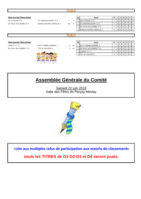|                           |                              | <b>Poule N</b> |    |                |                             |                |   |                |             |   |                |                |
|---------------------------|------------------------------|----------------|----|----------------|-----------------------------|----------------|---|----------------|-------------|---|----------------|----------------|
|                           |                              |                |    |                |                             |                |   |                |             |   |                |                |
| 3ème journée (3ème phase) |                              |                |    | Rg             | Equipe                      | PT             | J | V              | N           | D | P              | - F            |
| US LA RICHE TT 2          | - ST AVERTIN SPORT TT 3      | $\overline{7}$ | 9  |                | US LA RICHE TT 2            | $\overline{7}$ | 3 | $\overline{2}$ | 0           |   | 0              | $\overline{0}$ |
| ES VILLE AUX DAMES TT 3   | - Entente LOCHES / GENILLE 2 | 10             | 6  |                | 2 ST AVERTIN SPORT TT 3     | $\overline{7}$ | 3 | $\overline{2}$ | 0           |   | $\mathbf 0$    | $\mathbf 0$    |
|                           |                              |                |    |                | 3 ES VILLE AUX DAMES TT 3   | $\overline{7}$ | 3 | $\overline{2}$ | 0           |   | 0              | $\mathbf 0$    |
|                           |                              |                |    | $\overline{4}$ | Entente LOCHES / GENILLE 2  | 3              | 3 | $\mathbf 0$    | 0           | 3 | $\mathbf 0$    | $\overline{0}$ |
|                           |                              |                |    |                |                             |                |   |                |             |   |                |                |
|                           |                              | <b>Poule O</b> |    |                |                             |                |   |                |             |   |                |                |
|                           |                              |                |    |                |                             |                |   |                |             |   |                |                |
| 3ème journée (3ème phase) |                              |                |    | Rg             | Equipe                      | PT             | J | v              | N           | D | P              | l F            |
|                           |                              |                |    |                |                             |                |   |                |             |   |                |                |
| LARCAY T.T. 2             | - ASTT CHEMILLE/DEME 1       | 6              | 10 | $\mathbf{1}$   | <b>ASTT CHEMILLE/DEME 1</b> | $\overline{7}$ | 3 | $\overline{2}$ | $\mathbf 0$ | 1 | 0              | $\mathbf 0$    |
| ES VILLE AUX DAMES TT 4   | - TTC du LOCHOIS 3           | 3              | 13 |                | 2 ES VILLE AUX DAMES TT 4   | $\overline{7}$ | 3 | 2              | $\mathbf 0$ |   | $\mathbf 0$    | $\mathbf 0$    |
|                           |                              |                |    |                | 3 LARCAY T.T. 2             | 5              | 3 |                | $\Omega$    | 2 | 0              | $\mathbf 0$    |
|                           |                              |                |    | $\overline{4}$ | TTC du LOCHOIS 3            | $\overline{4}$ | 3 |                | $\mathbf 0$ | 1 | $\overline{0}$ | $\overline{1}$ |
|                           |                              |                |    |                |                             |                |   |                |             |   |                |                |
|                           |                              |                |    |                |                             |                |   |                |             |   |                |                |
|                           |                              |                |    |                |                             |                |   |                |             |   |                |                |
|                           |                              |                |    |                |                             |                |   |                |             |   |                |                |
|                           |                              |                |    |                |                             |                |   |                |             |   |                |                |

# **Assemblée Générale du Comité**

Samedi 22 juin 2019 Salle des Fêtes de Parçay-Meslay



S**uite aux multiples refus de participation aux matchs de classements**

**seuls les TITRES de D1-D2-D3 et D4 seront joués.**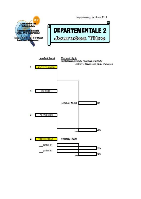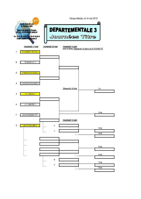